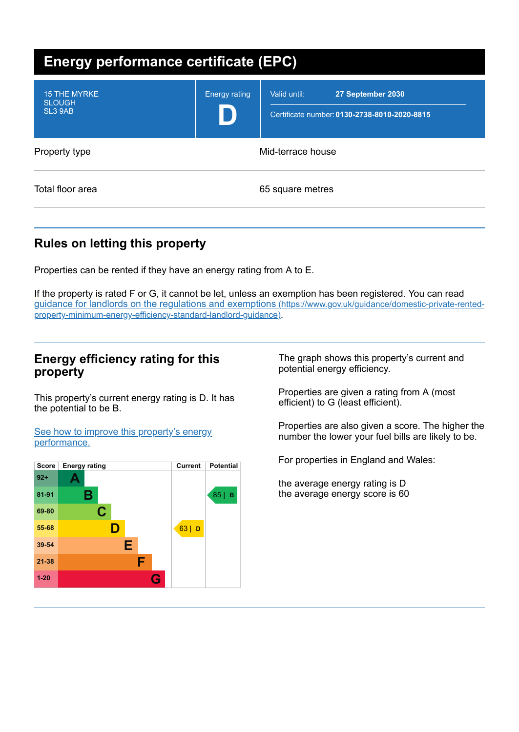| <b>Energy performance certificate (EPC)</b>                 |                      |                                                                                   |
|-------------------------------------------------------------|----------------------|-----------------------------------------------------------------------------------|
| <b>15 THE MYRKE</b><br><b>SLOUGH</b><br>SL <sub>3</sub> 9AB | <b>Energy rating</b> | Valid until:<br>27 September 2030<br>Certificate number: 0130-2738-8010-2020-8815 |
| Property type                                               | Mid-terrace house    |                                                                                   |
| Total floor area                                            |                      | 65 square metres                                                                  |

# **Rules on letting this property**

Properties can be rented if they have an energy rating from A to E.

If the property is rated F or G, it cannot be let, unless an exemption has been registered. You can read guidance for landlords on the regulations and exemptions (https://www.gov.uk/guidance/domestic-private-rented[property-minimum-energy-efficiency-standard-landlord-guidance\)](https://www.gov.uk/guidance/domestic-private-rented-property-minimum-energy-efficiency-standard-landlord-guidance).

### **Energy efficiency rating for this property**

This property's current energy rating is D. It has the potential to be B.

See how to improve this property's energy [performance.](#page-2-0)



The graph shows this property's current and potential energy efficiency.

Properties are given a rating from A (most efficient) to G (least efficient).

Properties are also given a score. The higher the number the lower your fuel bills are likely to be.

For properties in England and Wales:

the average energy rating is D the average energy score is 60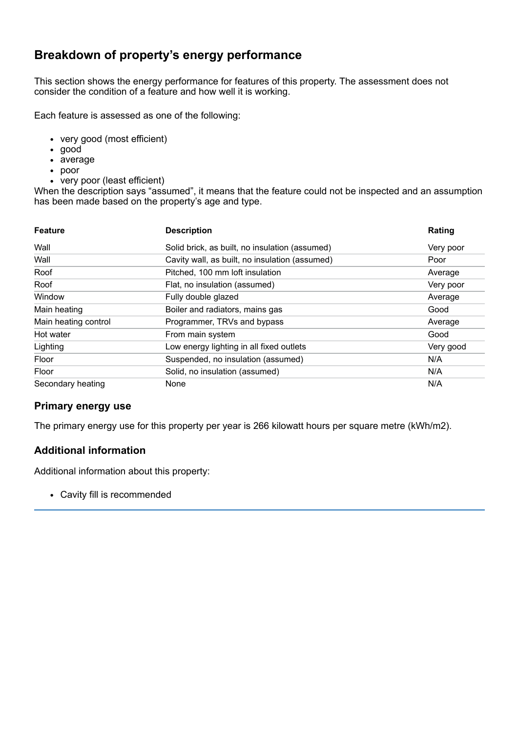## **Breakdown of property's energy performance**

This section shows the energy performance for features of this property. The assessment does not consider the condition of a feature and how well it is working.

Each feature is assessed as one of the following:

- very good (most efficient)
- good
- average
- poor
- very poor (least efficient)

When the description says "assumed", it means that the feature could not be inspected and an assumption has been made based on the property's age and type.

| <b>Feature</b>       | <b>Description</b>                             | Rating    |
|----------------------|------------------------------------------------|-----------|
| Wall                 | Solid brick, as built, no insulation (assumed) | Very poor |
| Wall                 | Cavity wall, as built, no insulation (assumed) | Poor      |
| Roof                 | Pitched, 100 mm loft insulation                | Average   |
| Roof                 | Flat, no insulation (assumed)                  | Very poor |
| Window               | Fully double glazed                            | Average   |
| Main heating         | Boiler and radiators, mains gas                | Good      |
| Main heating control | Programmer, TRVs and bypass                    | Average   |
| Hot water            | From main system                               | Good      |
| Lighting             | Low energy lighting in all fixed outlets       | Very good |
| Floor                | Suspended, no insulation (assumed)             | N/A       |
| Floor                | Solid, no insulation (assumed)                 | N/A       |
| Secondary heating    | None                                           | N/A       |

#### **Primary energy use**

The primary energy use for this property per year is 266 kilowatt hours per square metre (kWh/m2).

### **Additional information**

Additional information about this property:

Cavity fill is recommended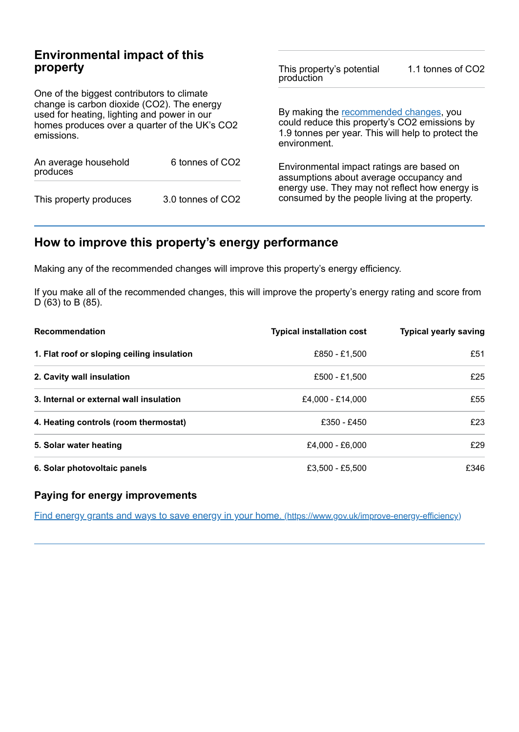## **Environmental impact of this property**

One of the biggest contributors to climate change is carbon dioxide (CO2). The energy used for heating, lighting and power in our homes produces over a quarter of the UK's CO2 emissions.

| An average household<br>produces | 6 tonnes of CO2   |  |
|----------------------------------|-------------------|--|
| This property produces           | 3.0 tonnes of CO2 |  |

This property's potential production 1.1 tonnes of CO2

By making the [recommended](#page-2-0) changes, you could reduce this property's CO2 emissions by 1.9 tonnes per year. This will help to protect the environment.

Environmental impact ratings are based on assumptions about average occupancy and energy use. They may not reflect how energy is consumed by the people living at the property.

# <span id="page-2-0"></span>**How to improve this property's energy performance**

Making any of the recommended changes will improve this property's energy efficiency.

If you make all of the recommended changes, this will improve the property's energy rating and score from D (63) to B (85).

| <b>Recommendation</b>                      | <b>Typical installation cost</b> | <b>Typical yearly saving</b> |
|--------------------------------------------|----------------------------------|------------------------------|
| 1. Flat roof or sloping ceiling insulation | £850 - £1,500                    | £51                          |
| 2. Cavity wall insulation                  | £500 - £1.500                    | £25                          |
| 3. Internal or external wall insulation    | £4.000 - £14.000                 | £55                          |
| 4. Heating controls (room thermostat)      | £350 - £450                      | £23                          |
| 5. Solar water heating                     | £4.000 - £6.000                  | f29                          |
| 6. Solar photovoltaic panels               | £3.500 - £5.500                  | £346                         |

#### **Paying for energy improvements**

Find energy grants and ways to save energy in your home. [\(https://www.gov.uk/improve-energy-efficiency\)](https://www.gov.uk/improve-energy-efficiency)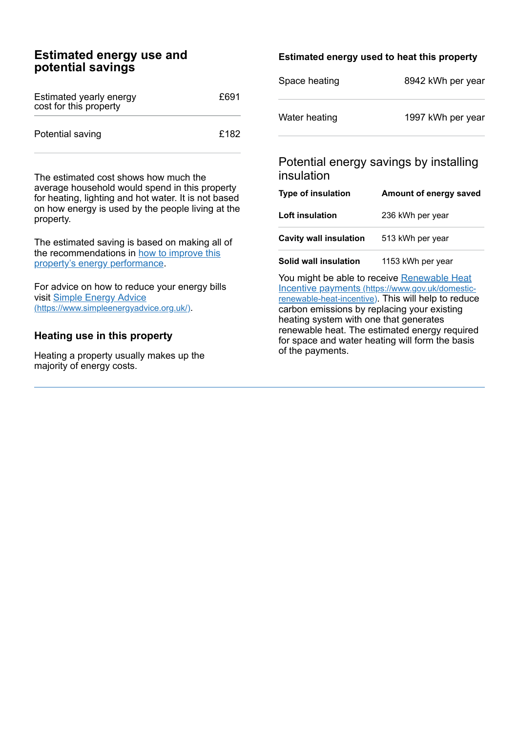### **Estimated energy use and potential savings**

| Estimated yearly energy<br>cost for this property | £691 |
|---------------------------------------------------|------|
| Potential saving                                  | £182 |

The estimated cost shows how much the average household would spend in this property for heating, lighting and hot water. It is not based on how energy is used by the people living at the property.

The estimated saving is based on making all of the [recommendations](#page-2-0) in how to improve this property's energy performance.

For advice on how to reduce your energy bills visit Simple Energy Advice [\(https://www.simpleenergyadvice.org.uk/\)](https://www.simpleenergyadvice.org.uk/).

### **Heating use in this property**

Heating a property usually makes up the majority of energy costs.

### **Estimated energy used to heat this property**

| Space heating | 8942 kWh per year |
|---------------|-------------------|
| Water heating | 1997 kWh per year |

## Potential energy savings by installing insulation

| <b>Type of insulation</b>     | Amount of energy saved |
|-------------------------------|------------------------|
| <b>Loft insulation</b>        | 236 kWh per year       |
| <b>Cavity wall insulation</b> | 513 kWh per year       |

**Solid wall insulation** 1153 kWh per year

You might be able to receive Renewable Heat Incentive payments [\(https://www.gov.uk/domestic](https://www.gov.uk/domestic-renewable-heat-incentive)renewable-heat-incentive). This will help to reduce carbon emissions by replacing your existing heating system with one that generates renewable heat. The estimated energy required for space and water heating will form the basis of the payments.